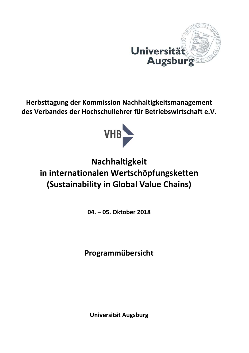

**Herbsttagung der Kommission Nachhaltigkeitsmanagement des Verbandes der Hochschullehrer für Betriebswirtschaft e.V.** 



## **Nachhaltigkeit in internationalen Wertschöpfungsketten (Sustainability in Global Value Chains)**

**04. – 05. Oktober 2018** 

**Programmübersicht** 

**Universität Augsburg**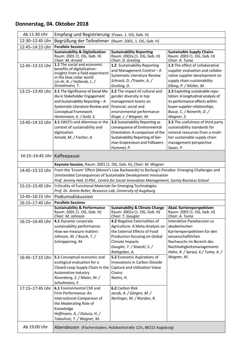## **Donnerstag, 04. Oktober 2018**

| Ab 11:30 Uhr                  | Empfang und Registrierung (Foyer, 1. OG, Geb. H)                                                                                                               |                                                                                             |                                                 |  |
|-------------------------------|----------------------------------------------------------------------------------------------------------------------------------------------------------------|---------------------------------------------------------------------------------------------|-------------------------------------------------|--|
| 12:30-12:45 Uhr               | Begrüßung der Teilnehmer (Raum: 2001, 1. OG, Geb. H)                                                                                                           |                                                                                             |                                                 |  |
| 12:45-14:15 Uhr               | <b>Parallele Sessions</b>                                                                                                                                      |                                                                                             |                                                 |  |
|                               | <b>Sustainability &amp; Digitalization</b>                                                                                                                     | <b>Sustainability Reporting</b>                                                             | <b>Sustainable Supply Chains</b>                |  |
|                               | Raum: 2001 (1. OG, Geb. H)<br>Chair: M. Arnold                                                                                                                 | Raum: 2002a (1. OG, Geb. H)<br>Chair: D. Greiling                                           | Raum: 2003 (1. OG, Geb. H)<br>Chair: A. Tuma    |  |
| 12:45-13:15 Uhr               | 1.1 The social and economic                                                                                                                                    | 1.2 Sustainability Reporting                                                                | 1.3 The effect of collaborative                 |  |
|                               | benefits of digitalization:                                                                                                                                    | and Management Control - A                                                                  | supplier evaluation and collabo-                |  |
|                               | Insights from a field experiment<br>in the blue collar world                                                                                                   | Systematic Literature Review                                                                | rative supplier development on                  |  |
|                               | Lin-Hi, N. / Hollands, L. /                                                                                                                                    | Schrack, D. /Traxler, A. /                                                                  | supply chain sustainability                     |  |
|                               | Straatmann, T.                                                                                                                                                 | Greiling, D.                                                                                | Elking, P. / Müller, M.                         |  |
| 13:15-13:45 Uhr               | 2.1 The Significance of Social Me-                                                                                                                             | 2.2 The impact of cultural and                                                              | 2.3 Exploiting sustainable repu-                |  |
|                               | dia in Stakeholder Engagement                                                                                                                                  | gender diversity in top                                                                     | tation: A longitudinal analysis of              |  |
|                               | and Sustainability Reporting-A                                                                                                                                 | management teams on                                                                         | its performance effects within                  |  |
|                               | Systematic Literature Review and                                                                                                                               | financial, social and                                                                       | buyer-supplier relationships                    |  |
|                               | Conceptual Framework<br>Heinemann, K. / Gold, S.                                                                                                               | environmental performance<br>Kluge, J. / Wagner, M.                                         | Busse, C. / Reinerth, D. /                      |  |
| 13:45-14:15 Uhr               | 3.1 SWOTs and dilemmas in the                                                                                                                                  | 3.2 Sustainability Reporting as                                                             | Wagner, S.<br>3.3 The usefulness of third party |  |
|                               | context of sustainability and                                                                                                                                  | consequence of Environmental                                                                | sustainability standards for                    |  |
|                               | digitisation                                                                                                                                                   | Orientation: A comparison of the                                                            | mineral resources from a multi-                 |  |
|                               | Arnold, M. / Fischer, A.                                                                                                                                       | Sustainability Reporting of Ger-                                                            | tier sustainable supply chain                   |  |
|                               |                                                                                                                                                                | man Ecopreneurs and Followers                                                               | management perspective                          |  |
|                               |                                                                                                                                                                | Hummel, P.                                                                                  | Sauer, P.                                       |  |
| 14:15-14:45 Uhr   Kaffeepause |                                                                                                                                                                |                                                                                             |                                                 |  |
|                               |                                                                                                                                                                |                                                                                             |                                                 |  |
|                               | Keynote-Session, Raum: 2001 (1. OG, Geb. H), Chair: M. Wagner                                                                                                  |                                                                                             |                                                 |  |
| 14:45-15:15 Uhr               | From the 'Eroom' Effect (Moore's Law Backwards) to Borlaug's Paradox: Emerging Challenges and<br>Unintended Consequences of Sustainable Development Innovation |                                                                                             |                                                 |  |
|                               |                                                                                                                                                                | Prof. Jeremy Hall, D.Phil., Centre for Social Innovation Management, Surrey Business School |                                                 |  |
| 15:15-15:45 Uhr               | Criticality of Functional Materials for Emerging Technologies                                                                                                  |                                                                                             |                                                 |  |
|                               | Prof. Dr. Armin Reller, Resource Lab, University of Augsburg                                                                                                   |                                                                                             |                                                 |  |
| 15:45-16:15 Uhr               | Podiumsdiskussion                                                                                                                                              |                                                                                             |                                                 |  |
| 16:15-17:45 Uhr               | <b>Parallele Sessions</b>                                                                                                                                      |                                                                                             |                                                 |  |
|                               | <b>Sustainability &amp; Performance</b>                                                                                                                        | <b>Sustainability &amp; Climate Change</b>                                                  | Akad. Karriereperspektiven                      |  |
|                               | Raum: 2001 (1. OG, Geb. H)<br>Chair: M. Johnson                                                                                                                | Raum: 2002a (1. OG, Geb. H)<br>Chair: T. Gaugler                                            | Raum: 2003 (1. OG, Geb. H)<br>Chair: A. Tuma    |  |
|                               | 16:15-16:45 Uhr   4.1 Dynamic corporate                                                                                                                        | 4.2 Negative Externalities of                                                               | Interaktive Panelsession zu                     |  |
|                               | sustainability performance:                                                                                                                                    | Agriculture: A Meta-Analysis on                                                             | akademischen                                    |  |
|                               | How we measure matters                                                                                                                                         | the External Effects of Food                                                                | Karriereperspektiven für den                    |  |
|                               | Johnson, M. / Busch, T. /                                                                                                                                      | Production focusing on Global                                                               | wissenschaftlichen                              |  |
|                               | Schnippering, M.                                                                                                                                               | Climate Impacts                                                                             | Nachwuchs im Bereich des                        |  |
|                               |                                                                                                                                                                | Gaugler, T. / Stoeckl, S. /                                                                 | Nachhaltigkeitsmanagements                      |  |
|                               |                                                                                                                                                                | Rathgeber, A.<br>5.2 Economic Aspirations of                                                | Hahn, R. / Spraul, K./ Tuma, A. /               |  |
| 16:45-17:15 Uhr               | 5.1 Conceptual economic and<br>ecological evaluation for a                                                                                                     | Innovations in Carbon Dioxide                                                               | Wagner, M.                                      |  |
|                               | Closed-Loop Supply Chain in the                                                                                                                                | Capture and Utilization Value                                                               |                                                 |  |
|                               | Automotive Industry                                                                                                                                            | Chains                                                                                      |                                                 |  |
|                               | Rosenberg, S. / Maier, M. /                                                                                                                                    | Naims, H.                                                                                   |                                                 |  |
|                               | Schultmann, F.                                                                                                                                                 |                                                                                             |                                                 |  |
| 17:15-17:45 Uhr               | 6.1 Environmental CSR and                                                                                                                                      | 6.2 Carbon Risk                                                                             |                                                 |  |
|                               | Firm Performance: An                                                                                                                                           | Jacob, A. / Görgen, M. /                                                                    |                                                 |  |
|                               | International Comparison of                                                                                                                                    | Nerlinger, M. / Riordan, R.                                                                 |                                                 |  |
|                               | the Moderating Role of                                                                                                                                         |                                                                                             |                                                 |  |
|                               | Knowledge                                                                                                                                                      |                                                                                             |                                                 |  |
|                               | Hoffmann, A. / Doluca, H. /<br>Talaulicar, T. / Wagner, M.                                                                                                     |                                                                                             |                                                 |  |
|                               |                                                                                                                                                                |                                                                                             |                                                 |  |
| Ab 19:00 Uhr                  |                                                                                                                                                                | Abendessen (Fischerstuben, Holzbachstraße 12½, 86152 Augsburg)                              |                                                 |  |